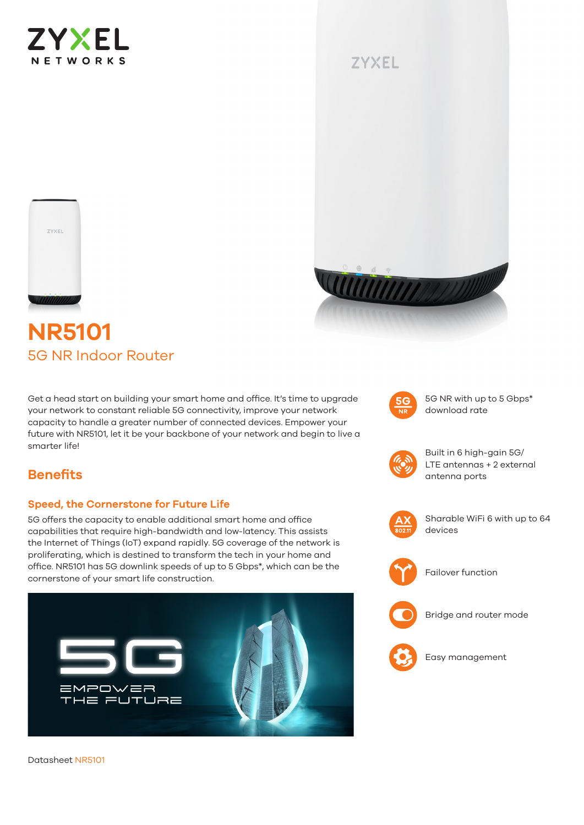

# **ZYXEL**





# **NR5101** 5G NR Indoor Router

Get a head start on building your smart home and office. It's time to upgrade your network to constant reliable 5G connectivity, improve your network capacity to handle a greater number of connected devices. Empower your future with NR5101, let it be your backbone of your network and begin to live a smarter life!



5G NR with up to 5 Gbps\* download rate



Built in 6 high-gain 5G/ LTE antennas + 2 external antenna ports

Sharable WiFi 6 with up to 64 devices



Failover function



Bridge and router mode



Easy management

# **Benefits**

#### **Speed, the Cornerstone for Future Life**

5G offers the capacity to enable additional smart home and office capabilities that require high-bandwidth and low-latency. This assists the Internet of Things (IoT) expand rapidly. 5G coverage of the network is proliferating, which is destined to transform the tech in your home and office. NR5101 has 5G downlink speeds of up to 5 Gbps\*, which can be the cornerstone of your smart life construction.



Datasheet NR5101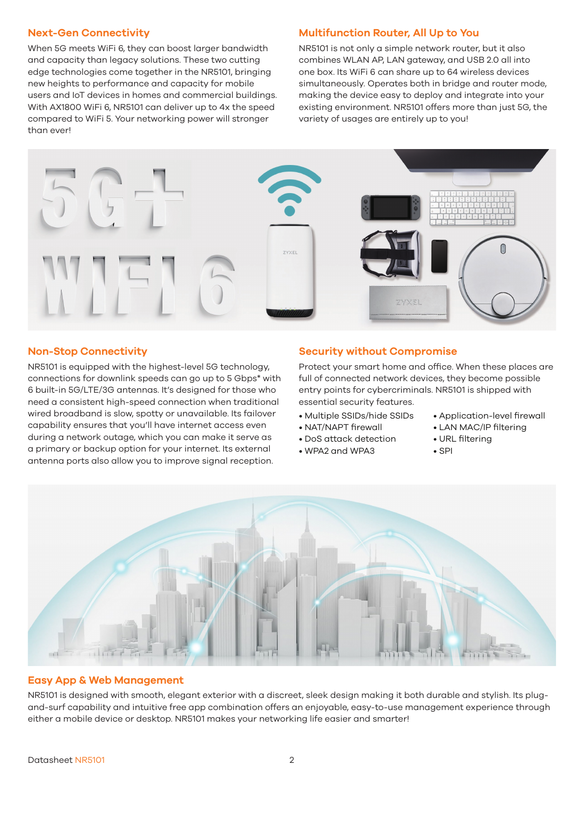#### **Next-Gen Connectivity**

When 5G meets WiFi 6, they can boost larger bandwidth and capacity than legacy solutions. These two cutting edge technologies come together in the NR5101, bringing new heights to performance and capacity for mobile users and IoT devices in homes and commercial buildings. With AX1800 WiFi 6, NR5101 can deliver up to 4x the speed compared to WiFi 5. Your networking power will stronger than ever!

#### **Multifunction Router, All Up to You**

NR5101 is not only a simple network router, but it also combines WLAN AP, LAN gateway, and USB 2.0 all into one box. Its WiFi 6 can share up to 64 wireless devices simultaneously. Operates both in bridge and router mode, making the device easy to deploy and integrate into your existing environment. NR5101 offers more than just 5G, the variety of usages are entirely up to you!



#### **Non-Stop Connectivity**

NR5101 is equipped with the highest-level 5G technology, connections for downlink speeds can go up to 5 Gbps\* with 6 built-in 5G/LTE/3G antennas. It's designed for those who need a consistent high-speed connection when traditional wired broadband is slow, spotty or unavailable. Its failover capability ensures that you'll have internet access even during a network outage, which you can make it serve as a primary or backup option for your internet. Its external antenna ports also allow you to improve signal reception.

#### **Security without Compromise**

Protect your smart home and office. When these places are full of connected network devices, they become possible entry points for cybercriminals. NR5101 is shipped with essential security features.

- Multiple SSIDs/hide SSIDs
- NAT/NAPT firewall • DoS attack detection

• WPA2 and WPA3

• LAN MAC/IP filtering

• Application-level firewall

- URL filtering
- SPI



#### **Easy App & Web Management**

NR5101 is designed with smooth, elegant exterior with a discreet, sleek design making it both durable and stylish. Its plugand-surf capability and intuitive free app combination offers an enjoyable, easy-to-use management experience through either a mobile device or desktop. NR5101 makes your networking life easier and smarter!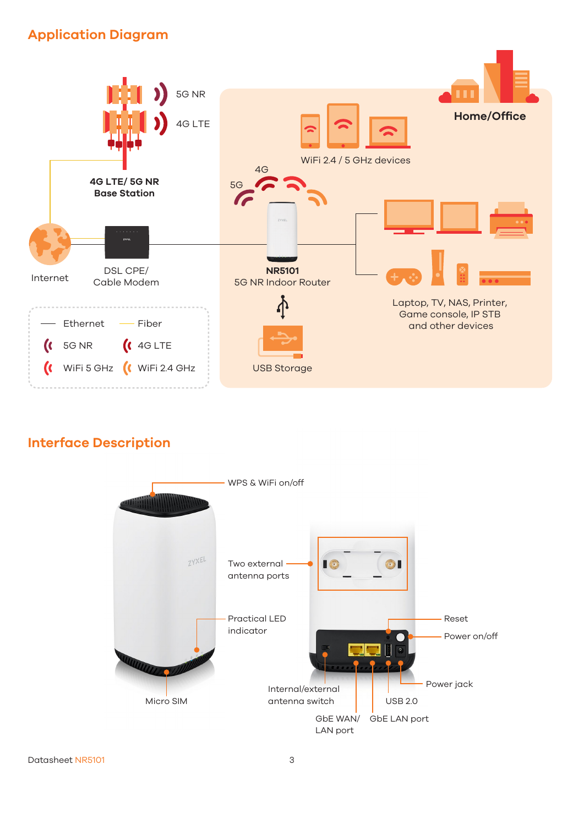# **Application Diagram**



# **Interface Description**